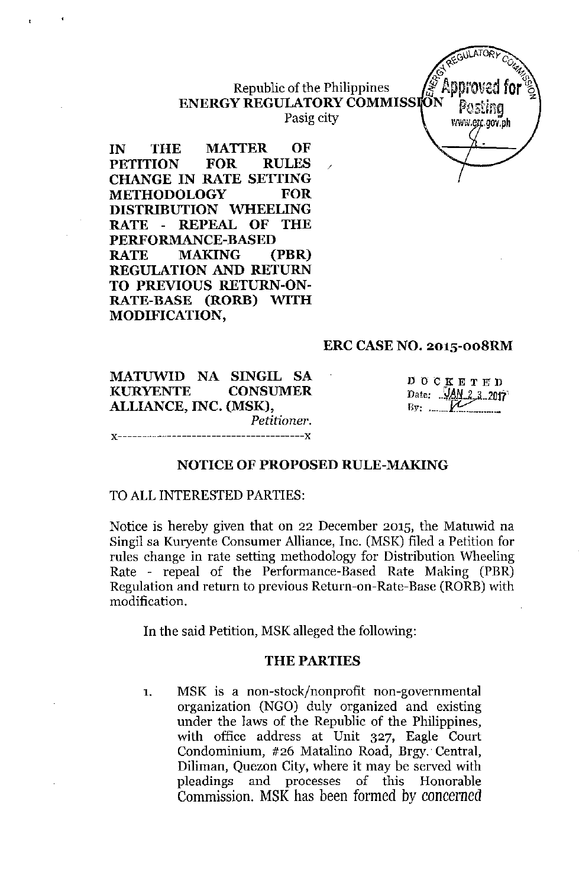# Republic of the Philippines **ENERGY REGULATORY COMMISSION**

Pasig city

**IN THE MATTER OF PETITION FOR RULES CHANGE IN RATE SETTING METHODOLOGY FOR DISTRIBUTION WHEELING RATE - REPEAL OF THE PERFORMANCE-BASED RATE MAKING (PBR) REGULATION AND RETURN TO PREVIOUS RETURN-ON-RATE-BASE (RORB) WITH MODIFICATION,**

## **ERC CASE NO. 201S-008RM**

**MATUWID NA SINGIL SA KURYENTE CONSUMER ALLIANCE, INC. (MSK),** *Petitioner.* **x--------------------------------------x**

DOCKETEIJ Date:  $\frac{\text{JAN}}{2}$ , 2017  $B_y$ :  $\ldots$   $\mathcal{V}$ 

**GUILATOR** 

www.erc.gov.ph

Appl

#### **NOTICE OF PROPOSED RULE-MAKING**

#### TO**ALL** INTERESTED PARTIES:

Notice is hereby given that on 22 December 2015, the Matuwid na Singil sa Kuryente Consumer Alliance, Inc. (MSK) filed a Petition for rules change in rate setting methodology for Distribution Wheeling Rate - repeal of the Performance-Based Rate Making (PBR) Regulation and return to previous Return-on-Rate-Base (RORB) with modification.

In the said Petition, MSKalleged the following:

#### THE PARTIES

1. MSK is a non-stock/nonprofit non-governmental organization (NGO) duly organized and existing under the laws of the Republic of the Philippines, with office address at Unit 327, Eagle Court Condominium, #26 Matalino Road, Brgy. Central, Diliman, Quezon City, where it may be served with pleadings and processes of this Honorable Commission. MSK has been formed by concerned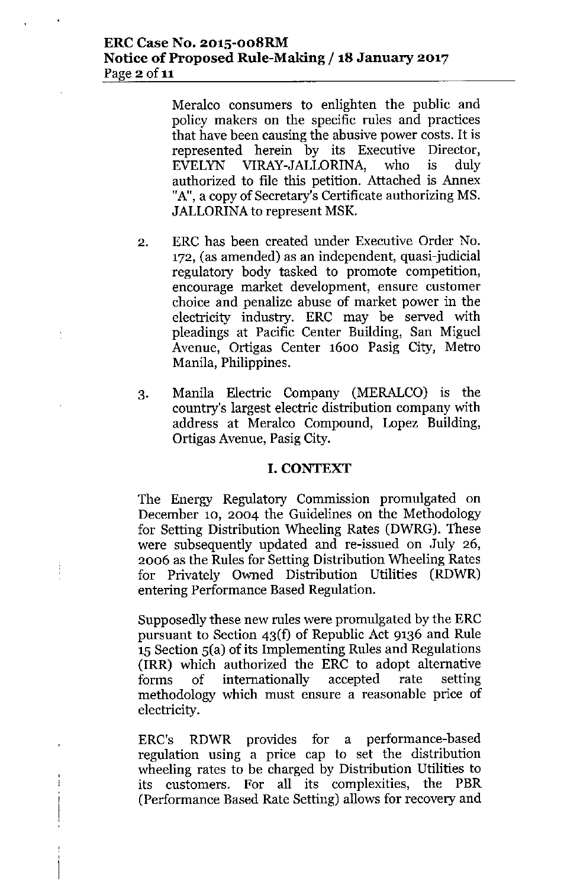#### **ERC Case No. 201S-008RM Notice** of Proposed **Rule-Making /18 January 2017** Page  $2$  of  $11$

Meralco consumers to enlighten the public and policy makers on the specific rules and practices that have been causing the abusive power costs. It is represented herein by its Executive Director, EVELYN VlRAY-JALLORINA, who is duly authorized to file this petition. Attached is Annex "A", a copy of Secretary's Certificate authorizing MS. JALLORINA to represent MSK.

- 2. ERC has been created under Executive Order No. 172, (as amended) as an independent, quasi-judicial regulatory body tasked to promote competition, encourage market development, ensure customer choice and penalize abuse of market power in the electricity industry. ERC may be served with pleadings at Pacific Center Building, San Miguel Avenue, Ortigas Center 1600 Pasig City, Metro Manila, Philippines.
- 3. Manila Electric Company (MERALCO) is the country's largest electric distribution company with address at Meralco Compound, Lopez Building, Ortigas Avenue, Pasig City.

## **I. CONTEXT**

The Energy Regulatory Commission promulgated on December 10, 2004 the Guidelines on the Methodology for Setting Distribution Wheeling Rates (DWRG). These were subsequently updated and re-issued on July 26, 2006 as the Rules for Setting Distribution Wheeling Rates for Privately Owned Distribution Utilities (RDWR) entering Performance Based Regulation.

Ì

İ

Supposedly these new rules were promulgated by the ERC pursuant to Section 43(f) of Republic Act 9136 and Rule 15 Section 5(a) of its Implementing Rules and Regulations (IRR) which authorized the ERC to adopt alternative forms of internationally accepted rate setting methodology which must ensure a reasonable price of electricity.

ERC's RDWR provides for a performance-based regulation using a price cap to set the distribution wheeling rates to be charged by Distribution Utilities to its customers. For all its complexities, the PBR (Performance Based Rate Setting) allows for recovery and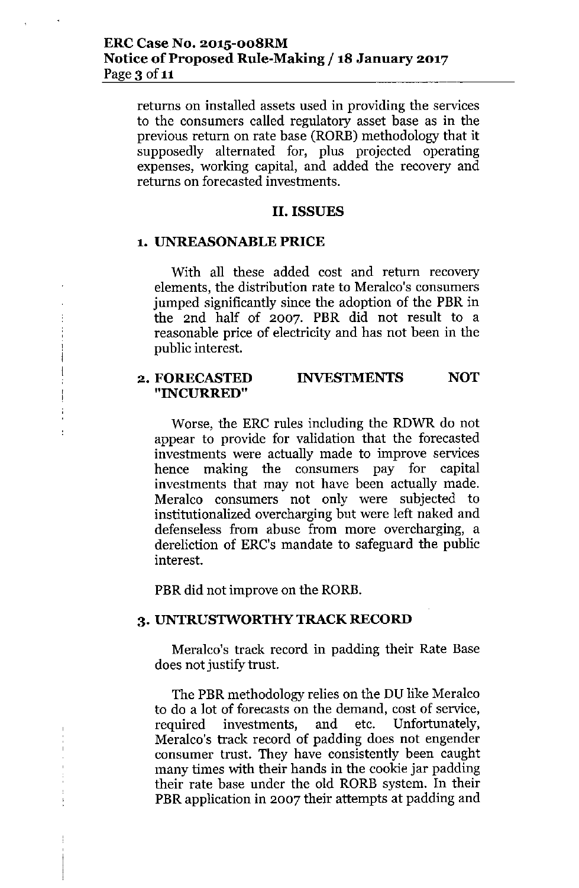returns on installed assets used in providing the services to the consumers called regulatory asset base as in the previous return on rate base (RORE) methodology that it supposedly alternated for, plus projected operating expenses, working capital, and added the recovery and returns on forecasted investments.

#### **II. ISSUES**

#### **1. UNREASONABLE PRICE**

With all these added cost and return recovery elements, the distribution rate to Meralco's consumers jumped significantly since the adoption of the PBR in the 2nd half of 2007. PBR did not result to a reasonable price of electricity and has not been in the public interest.

#### 2. FORECASTED **"INCURRED" INVESTMENTS NOT**

Worse, the ERC rules including the RDWR do not appear to provide for validation that the forecasted investments were actually made to improve services hence making the consumers pay for capital investments that may not have been actually made. Meralco consumers not only were subjected to institutionalized overcharging but were left naked and defenseless from abuse from more overcharging, a dereliction of ERC's mandate to safeguard the public interest.

PBR did not improve on the RORB.

#### **3. UNTRUSTWORTHY TRACK RECORD**

Meralco's track record in padding their Rate Base does not justify trust.

The PBR methodology relies on the DU like Meralco to do a lot of forecasts on the demand, cost of service, required investments, and etc. Unfortunately, Meralco's track record of padding does not engender consumer trust. They have consistently been caught many times with their hands in the cookie jar padding their rate base under the old RORB system. In their PBR application in 2007 their attempts at padding and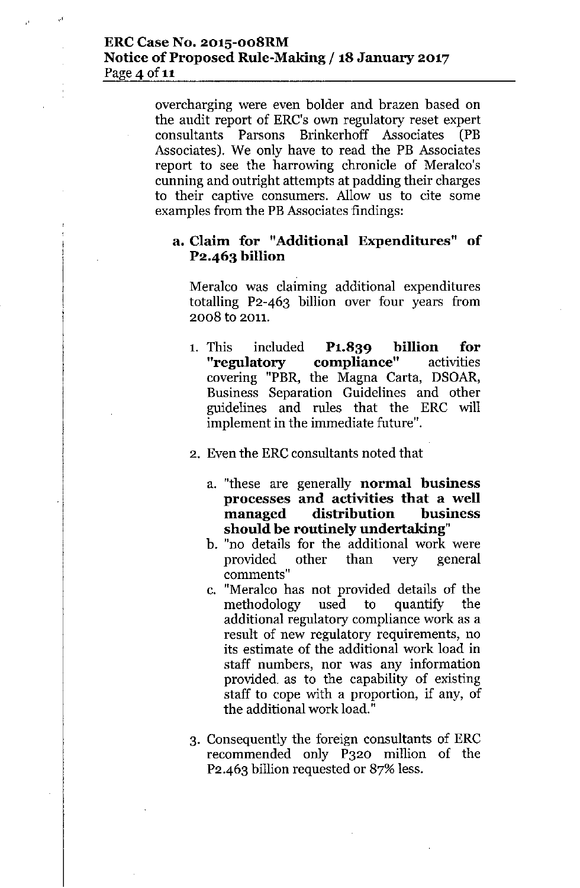overcharging were even bolder and brazen based on the audit report of ERC's own regulatory reset expert consultants Parsons Brinkerhoff Associates (PB Associates). We only have to read the PB Associates report to see the harrowing chronicle of Meralco's cunning and outright attempts at padding their charges to their captive consumers, Allow us to cite some examples from the PBAssociates findings:

## **a. Claim for "Additional Expenditures" of P2.463 billion**

Meralco was claiming additional expenditures totalling P2-463 billion over four years from 2008 to 2011.

- 1. This included **P1.839 billion for "regulatory compliance"** activities covering "PBR, the Magna Carta, DSOAR, Business Separation Guidelines and other guidelines and rules that the ERC will implement in the immediate future".
- 2. Even the ERC consultants noted that
	- a. "these are generally **normal business processes and activities that a well managed distribution business should be routinely undertaking"**
	- b. "no details for the additional work were provided other than very general **comments"**
	- c. "Meralco has not provided details of the methodology used to quantify the additional regulatory compliance work as a result of new regulatory requirements, no its estimate of the additional work load in staff numbers, nor was any information provided as to the capability of existing staff to cope with a proportion, if any, of the additional work load."
- 3. Consequently the foreign consultants of ERC recommended only P320 million of the P2.463 billion requested or 87% less.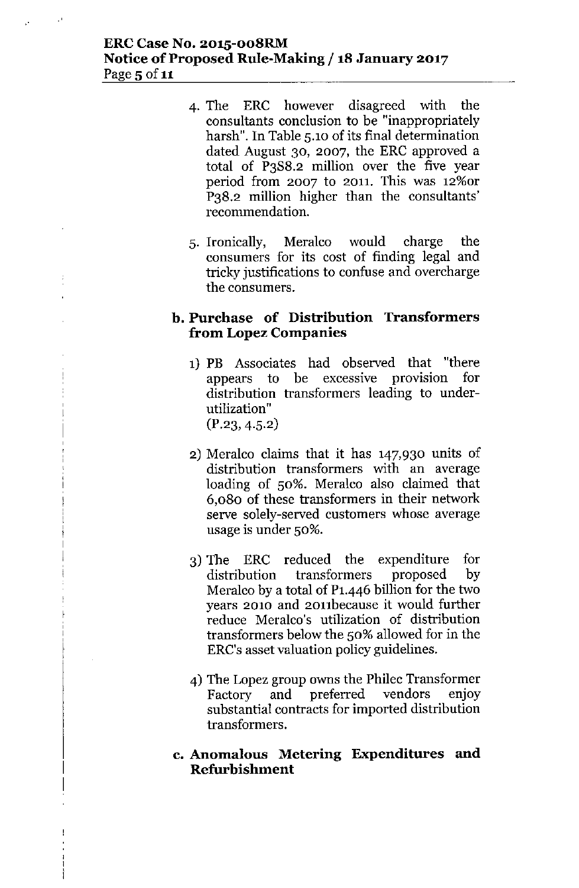## **ERCCase No. 2015-008RM Notice** of Proposed **Rule-Making /18 January 2017** Page 5 of 11

- 4. The ERC however disagreed with the consultants conclusion to be "inappropriately harsh". In Table 5.10 of its final determination dated August 30, 2007, the ERC approved a total of P3S8.2 million over the five year period from 2007 to 2011. This was 12%or P38.2 million higher than the consultants' recommendation.
- 5. Ironically, Meralco would charge the consumers for its cost of finding legal and tricky justifications to confuse and overcharge the consumers.

## **b. Purchase of Distribution Transformers from Lopez Companies**

- 1) PB Associates had observed that "there appears to be excessive provision for distribution transformers leading to under**utilization"**  $(P.23, 4.5.2)$
- 2) Meralco claims that it has 147,930 units of distribution transformers with an average loading of 50%. Meralco also claimed that 6,080 of these transformers in their network serve solely-served customers whose average usage is under 50%.
- 3) The ERC reduced the expenditure for distribution transformers proposed by Meralco by a total of P1.446 billion for the two years 2010 and 2011because it would further reduce Meralco's utilization of distribution transformers below the 50% allowed for in the ERC's asset valuation policy guidelines.
- 4) The Lopez group owns the Philec Transformer Factory and preferred vendors enjoy substantial contracts for imported distribution transformers.

## **c. Anomalous Metering Expenditures and Refurbishment**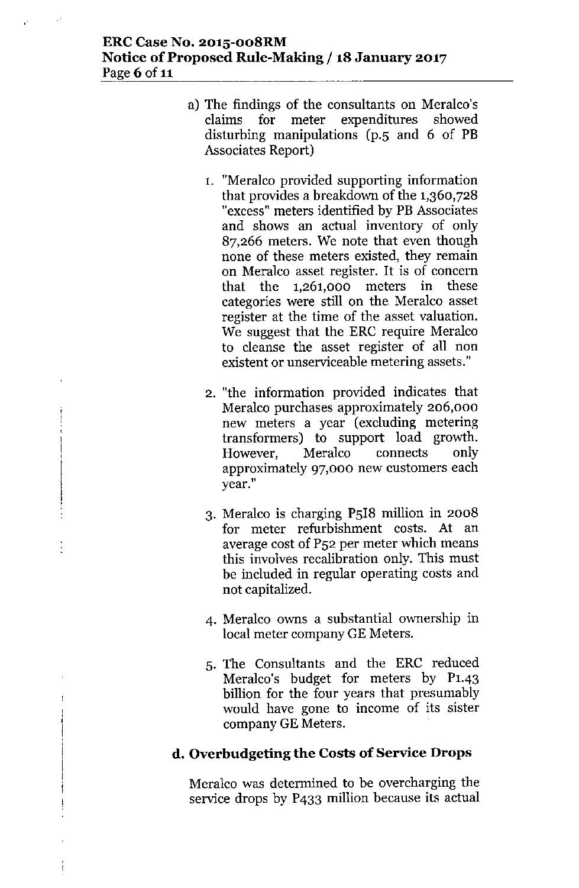## **ERCCase No. 2015-oo8RM Notice** of Proposed **Rule-Making /18 January 2017** Page 6 of 11

- a) The findings of the consultants on Meralco's claims for meter expenditures showed disturbing manipulations (p.s and 6 of **PB** Associates Report)
	- 1. "Meralco provided supporting information that provides a breakdown of the 1,360,728 "excess" meters identified by **PB** Associates and shows an actual inventory of only 87,266 meters. We note that even though none of these meters existed, they remain on Meralco asset register. It is of concern that the 1,261,000 meters in these categories were still on the Meralco asset register at the time of the asset valuation. We suggest that the ERC require Meralco to cleanse the asset register of all non existent or unserviceable metering assets."
	- 2. "the information provided indicates that Meralco purchases approximately 206,000 new meters a year (excluding metering transformers) to support load growth. However, Meralco connects only approximately 97,000 new customers each **year."**
	- 3. Meralco is charging PSI8 million in 2008 for meter refurbishment costs. At an average cost of P52 per meter which means this involves recalibration only. This must be included in regular operating costs and not capitalized.
	- 4. Meralco owns a substantial ownership in local meter company GE Meters.
	- S. The Consultants and the ERC reduced Meralco's budget for meters by P1.43 billion for the four years that presumably would have gone to income of its sister company GE Meters.

## **d. Overbudgeting the Costs of Service Drops**

Meralco was determined to be overcharging the service drops by P433 million because its actual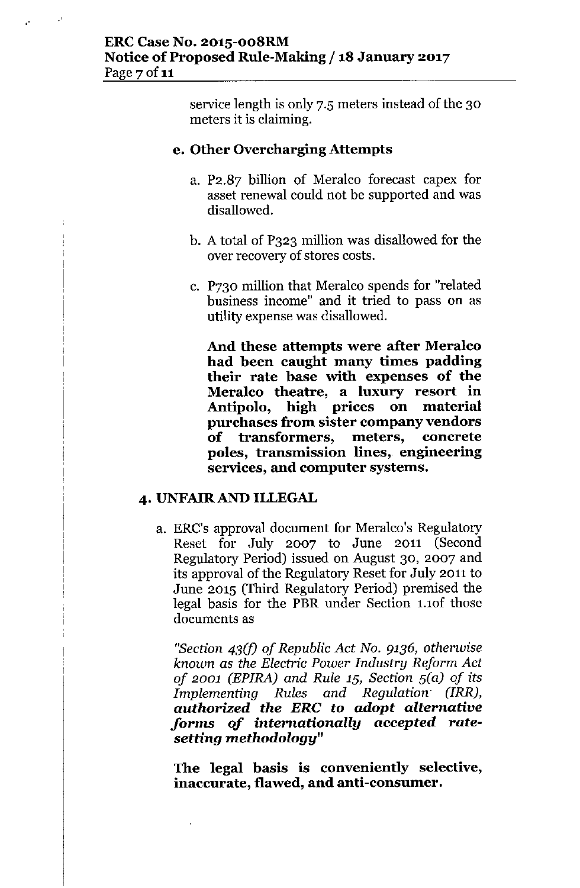service length is only 7.5 meters instead of the 30 meters it is claiming.

## **e. Other Overcharging Attempts**

- a. P2.87 billion of Meralco forecast capex for asset renewal could not be supported and was disallowed.
- b. A total of P323 million was disallowed for the over recovery of stores costs.
- c. P730 million that Meralco spends for "related business income" and it tried to pass on as utility expense was disallowed.

**And these attempts were after Meralco had been caught many times padding their rate base with expenses of the Meralco theatre, a luxury resort in Antipolo, high prices on material purchases from sister company vendors of transformers, meters, concrete poles, transmission lines, engineering services, and computer systems.**

## **4. UNFAlRAND ILLEGAL**

a. ERC's approval document for Meralco's Regulatory Reset for July 2007 to June 2011 (Second Regulatory Period) issued on August 30, 2007 and its approval of the Regulatory Reset for July 2011 to June 2015 (Third Regulatory Period) premised the legal basis for the PBR under Section 1.1of those documents as

*"Section 43(f) of Republic Act No.* 9136, *otherwise known* as *the Electric Power Industry Reform Act of 2001 (EPIRA) and Rule 15, Section S(*a) *of its Implementing Rules and Regulation (IRR), authorized the ERe* **to** *adopt alternative forms of internationally* **accepted** *ratesetting methodology"*

**The legal basis is conveniently selective, inaccurate, flawed, and anti-consumer.**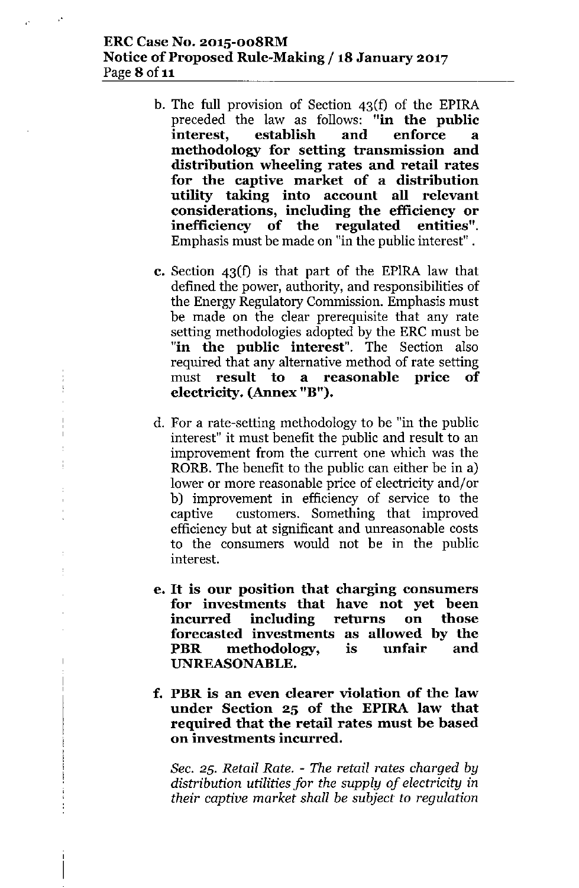## ERC Case No. 2015-oo8RM Notice of Proposed Rule-Making / 18 January 2017 Page 8 of 11

"

- b, The full provision of Section 43(f) of the EPlRA preceded the law as follows: "in the public interest, establish and enforce a methodology for setting transmission and distribution wheeling rates and retail rates for the captive market of a distribution utility taking into account all relevant considerations, including the efficiency or inefficiency of the regulated entities", Emphasis must be made on "in the public interest".
- c. Section 43(f) is that part of the EPlRA law that defined the power, authority, and responsibilities of the Energy Regulatory Commission. Emphasis must be made on the clear prerequisite that any rate setting methodologies adopted by the ERC must be "in the public interest". The Section also required that any alternative method of rate setting must result to a reasonable price of electricity. (Annex "B").
- d. For a rate-setting methodologyto be "in the public interest" it must benefit the public and result to an improvement from the current one which was the RORB. The benefit to the public can either be in a) lower or more reasonable price of electricity and/or b) improvement in efficiency of service to the captive customers. Something that improved efficiencybut at significant and unreasonable costs to the consumers would not be in the public interest.
- e. It is our position that charging consumers for investments that have not yet been incurred including returns on those forecasted investments as allowed by the PBR methodology, is unfair and UNREASONABLE.
- f. PBR is an even clearer violation of the law under Section 25 of the EPlRA law that required that the retail rates must be based on investments incurred.

*Sec.* 25. *Retail Rate. - The retail rates charged by distribution utilities for the supply of electricity* in *their captive market shall be subject to regulation*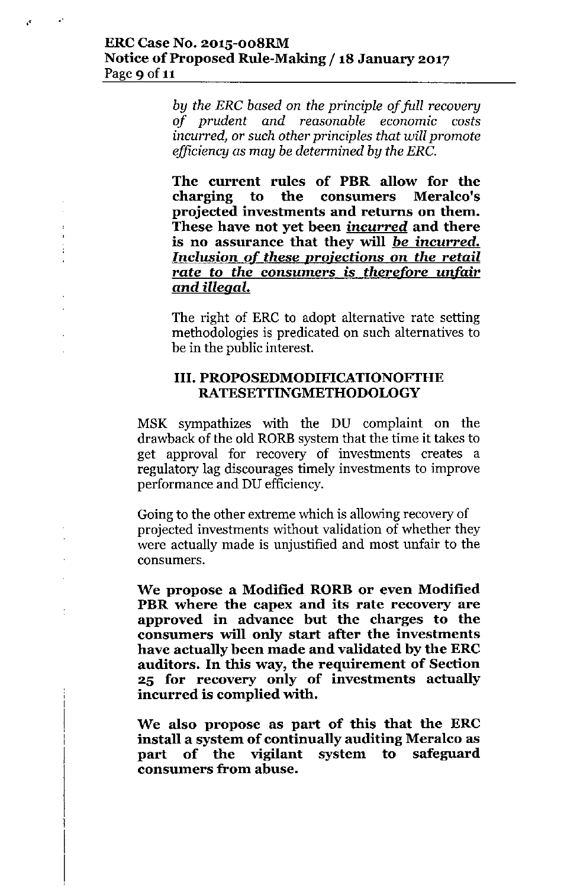"

 $\frac{1}{4}$ 

 $\mathbf{r}$ 

*by the ERC based on the principle of full recovery of prudent and reasonable economic costs incurred,* or *such other principles that will promote efficiency* as *may be determined by the ERC.*

**The current rules of PBR allow for the charging to the consumers projected investments and returns on them. These have not yet been incurred and there is no assurance that they will** *be* **incurred.** *Inclusion of these* **projections on** *the retail rate to the consumers* **is** *therefore unfair and illegal.*

The right of ERC to adopt alternative rate setting methodologies is predicated on such alternatives to be in the public interest.

## **III. PROPOSEDMODIFICATIONOFTHE RATESETTINGMETHODOLOGY**

MSK sympathizes with the DU complaint on the drawback of the old RORE system that the time it takes to get approval for recovery of investments creates a regulatory lag discourages timely investments to improve performance and DU efficiency.

Going to the other extreme which is allowing recovery of projected investments without validation of whether they were actually made is unjustified and most unfair to the consumers.

**We propose a Modified RORB or even Modified PBR where the capex and its rate recovery are approved in advance but the charges to the consumers will only start after the investments have actually been made and validated by the ERC auditors. In this way, the requirement of Section 25 for recovery only of investments actually incurred is complied with.**

**We also propose as part of this that the ERC install a system of continually auditing Meralco as part of the vigilant system to safeguard consumers from abuse.**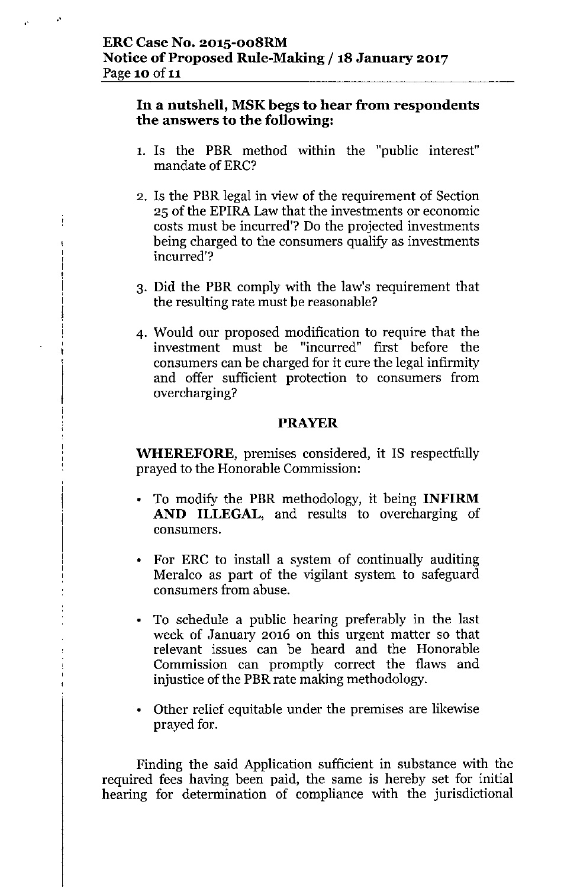"

.'

## **In a nutshell, MSK begs to hear from respondents the answers to the following:**

- 1. Is the PBR method within the "public interest" mandate of ERC?
- 2. Is the PBR legal in view of the requirement of Section 25 of the EPIRA Law that the investments or economic costs must be incurred'? Do the projected investments being charged to the consumers qualify as investments incurred'?
- 3. Did the PBR comply with the law's requirement that the resulting rate must be reasonable?
- 4. Would our proposed modification to require that the investment must be "incurred" first before the consumers can be charged for it cure the legal infirmity and offer sufficient protection to consumers from overcharging?

## **PRAYER**

**WHEREFORE,** premises considered, it IS respectfully prayed to the Honorable Commission:

- To modify the PBR methodology, it being **INFIRM AND ILLEGAL,** and results to overcharging of consumers.
- For ERC to install a system of continually auditing Meralco as part of the vigilant system to safeguard consumers from abuse.
- To schedule a public hearing preferably in the last week of January 2016 on this urgent matter so that relevant issues can be heard and the Honorable Commission can promptly correct the flaws and injustice of the PBR rate making methodology.
- Other relief equitable under the premises are likewise prayed for.

Finding the said Application sufficient in substance with the required fees having been paid, the same is hereby set for initial hearing for determination of compliance with the jurisdictional